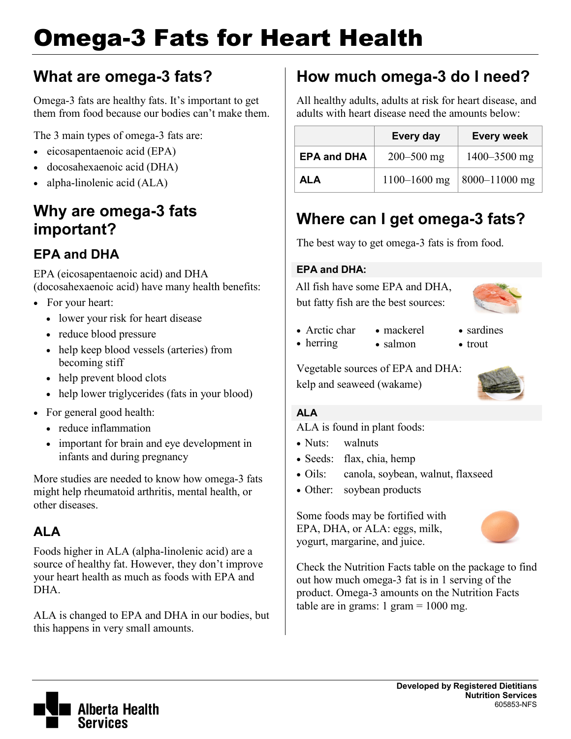# Omega-3 Fats for Heart Health

# **What are omega-3 fats?**

Omega-3 fats are healthy fats. It's important to get them from food because our bodies can't make them.

The 3 main types of omega-3 fats are:

- eicosapentaenoic acid (EPA)
- docosahexaenoic acid (DHA)
- alpha-linolenic acid (ALA)

## **Why are omega-3 fats important?**

### **EPA and DHA**

EPA (eicosapentaenoic acid) and DHA (docosahexaenoic acid) have many health benefits:

- For your heart:
	- lower your risk for heart disease
	- reduce blood pressure
	- help keep blood vessels (arteries) from becoming stiff
	- help prevent blood clots
	- help lower triglycerides (fats in your blood)
- For general good health:
	- reduce inflammation
	- important for brain and eye development in infants and during pregnancy

More studies are needed to know how omega-3 fats might help rheumatoid arthritis, mental health, or other diseases.

### **ALA**

Foods higher in ALA (alpha-linolenic acid) are a source of healthy fat. However, they don't improve your heart health as much as foods with EPA and DHA.

ALA is changed to EPA and DHA in our bodies, but this happens in very small amounts.

# **How much omega-3 do I need?**

All healthy adults, adults at risk for heart disease, and adults with heart disease need the amounts below:

|                    | Every day        | <b>Every week</b> |
|--------------------|------------------|-------------------|
| <b>EPA and DHA</b> | $200 - 500$ mg   | $1400 - 3500$ mg  |
| ALA                | $1100 - 1600$ mg | $ 8000-11000$ mg  |

# **Where can I get omega-3 fats?**

The best way to get omega-3 fats is from food.

#### **EPA and DHA:**

All fish have some EPA and DHA, but fatty fish are the best sources:

- 
- Arctic char • mackerel • salmon
- herring
- sardines
- trout

Vegetable sources of EPA and DHA: kelp and seaweed (wakame)



#### **ALA**

ALA is found in plant foods:

- Nuts: walnuts
- Seeds: flax, chia, hemp
- Oils: canola, soybean, walnut, flaxseed
- Other: soybean products

Some foods may be fortified with EPA, DHA, or ALA: eggs, milk, yogurt, margarine, and juice.



Check the Nutrition Facts table on the package to find out how much omega-3 fat is in 1 serving of the product. Omega-3 amounts on the Nutrition Facts table are in grams:  $1 \text{ gram} = 1000 \text{ mg}$ .

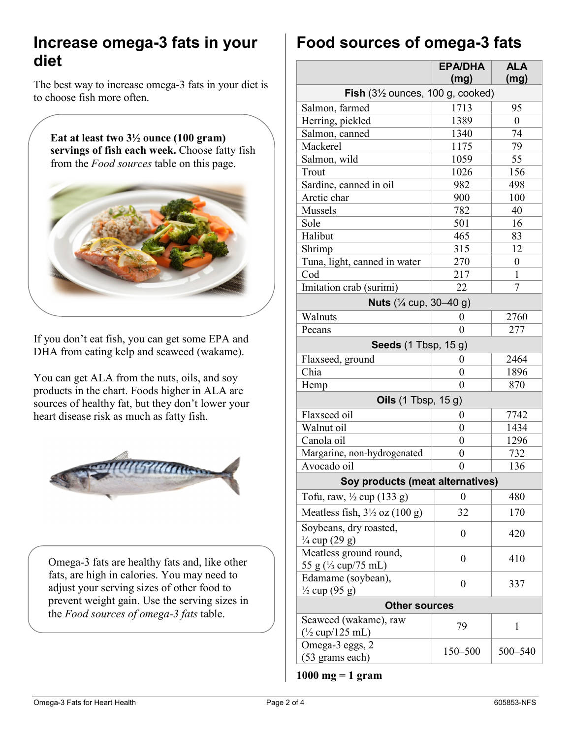### **Increase omega-3 fats in your diet**

The best way to increase omega-3 fats in your diet is to choose fish more often.

**Eat at least two 3½ ounce (100 gram) servings of fish each week.** Choose fatty fish from the *Food sources* table on this page.



If you don't eat fish, you can get some EPA and DHA from eating kelp and seaweed (wakame).

You can get ALA from the nuts, oils, and soy products in the chart. Foods higher in ALA are sources of healthy fat, but they don't lower your heart disease risk as much as fatty fish.



Omega-3 fats are healthy fats and, like other fats, are high in calories. You may need to adjust your serving sizes of other food to prevent weight gain. Use the serving sizes in the *Food sources of omega-3 fats* table.

# **Food sources of omega-3 fats**

|                                                     | <b>EPA/DHA</b><br>(mg) | <b>ALA</b><br>(mg) |
|-----------------------------------------------------|------------------------|--------------------|
| <b>Fish</b> $(3\frac{1}{2})$ ounces, 100 g, cooked) |                        |                    |
| Salmon, farmed                                      | 1713                   | 95                 |
| Herring, pickled                                    | 1389                   | $\overline{0}$     |
| Salmon, canned                                      | 1340                   | 74                 |
| Mackerel                                            | 1175                   | 79                 |
| Salmon, wild                                        | 1059                   | 55                 |
| Trout                                               | 1026                   | 156                |
| Sardine, canned in oil                              | 982                    | 498                |
| Arctic char                                         | 900                    | 100                |
| Mussels                                             | 782                    | 40                 |
| Sole                                                | 501                    | 16                 |
| Halibut                                             | 465                    | 83                 |
| Shrimp                                              | 315                    | 12                 |
| Tuna, light, canned in water                        | 270                    | 0                  |
| Cod                                                 | 217                    | 1                  |
| Imitation crab (surimi)                             | 22                     | 7                  |
| Nuts (1/4 cup, 30-40 g)                             |                        |                    |
| Walnuts                                             | 0                      | 2760               |
| Pecans                                              | 0                      | 277                |
| <b>Seeds</b> (1 Tbsp, 15 g)                         |                        |                    |
| Flaxseed, ground                                    | $\boldsymbol{0}$       | 2464               |
| Chia                                                | 0                      | 1896               |
| Hemp                                                | $\theta$               | 870                |
| Oils (1 Tbsp, 15 g)                                 |                        |                    |
| Flaxseed oil                                        | 0                      | 7742               |
| Walnut oil                                          | 0                      | 1434               |
| Canola oil                                          | $\boldsymbol{0}$       | 1296               |
| Margarine, non-hydrogenated                         | 0                      | 732                |
| Avocado oil                                         | $\boldsymbol{0}$       | 136                |
| Soy products (meat alternatives)                    |                        |                    |
| Tofu, raw, 1/2 cup (133 g)                          | $\boldsymbol{0}$       | 480                |
| Meatless fish, $3\frac{1}{2}$ oz $(100 g)$          | 32                     | 170                |
| Soybeans, dry roasted,<br>$\frac{1}{4}$ cup (29 g)  | 0                      | 420                |
| Meatless ground round,<br>55 g (1/3 cup/75 mL)      | 0                      | 410                |
| Edamame (soybean),<br>$\frac{1}{2}$ cup (95 g)      | $\overline{0}$         | 337                |
| <b>Other sources</b>                                |                        |                    |
| Seaweed (wakame), raw<br>$\frac{1}{2}$ cup/125 mL)  | 79                     | 1                  |
| Omega-3 eggs, 2<br>(53 grams each)                  | 150-500                | 500-540            |

**1000 mg = 1 gram**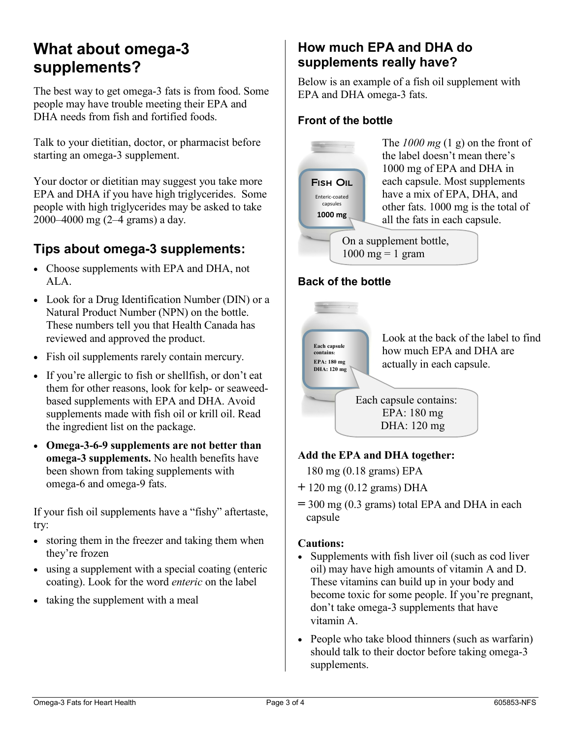### **What about omega-3 supplements?**

The best way to get omega-3 fats is from food. Some people may have trouble meeting their EPA and DHA needs from fish and fortified foods.

Talk to your dietitian, doctor, or pharmacist before starting an omega-3 supplement.

Your doctor or dietitian may suggest you take more EPA and DHA if you have high triglycerides. Some people with high triglycerides may be asked to take 2000–4000 mg (2–4 grams) a day.

### **Tips about omega-3 supplements:**

- Choose supplements with EPA and DHA, not ALA.
- Look for a Drug Identification Number (DIN) or a Natural Product Number (NPN) on the bottle. These numbers tell you that Health Canada has reviewed and approved the product.
- Fish oil supplements rarely contain mercury.
- If you're allergic to fish or shellfish, or don't eat them for other reasons, look for kelp- or seaweedbased supplements with EPA and DHA. Avoid supplements made with fish oil or krill oil. Read the ingredient list on the package.
- **Omega-3-6-9 supplements are not better than omega-3 supplements.** No health benefits have been shown from taking supplements with omega-6 and omega-9 fats.

If your fish oil supplements have a "fishy" aftertaste, try:

- storing them in the freezer and taking them when they're frozen
- using a supplement with a special coating (enteric coating). Look for the word *enteric* on the label
- taking the supplement with a meal

### **How much EPA and DHA do supplements really have?**

Below is an example of a fish oil supplement with EPA and DHA omega-3 fats.

#### **Front of the bottle**



The *1000 mg* (1 g) on the front of the label doesn't mean there's 1000 mg of EPA and DHA in each capsule. Most supplements have a mix of EPA, DHA, and other fats. 1000 mg is the total of all the fats in each capsule.

On a supplement bottle,  $1000$  mg = 1 gram

#### **Back of the bottle**



#### **Add the EPA and DHA together:**

180 mg (0.18 grams) EPA

- **+** 120 mg (0.12 grams) DHA
- **=** 300 mg (0.3 grams) total EPA and DHA in each capsule

#### **Cautions:**

- Supplements with fish liver oil (such as cod liver oil) may have high amounts of vitamin A and D. These vitamins can build up in your body and become toxic for some people. If you're pregnant, don't take omega-3 supplements that have vitamin A.
- People who take blood thinners (such as warfarin) should talk to their doctor before taking omega-3 supplements.